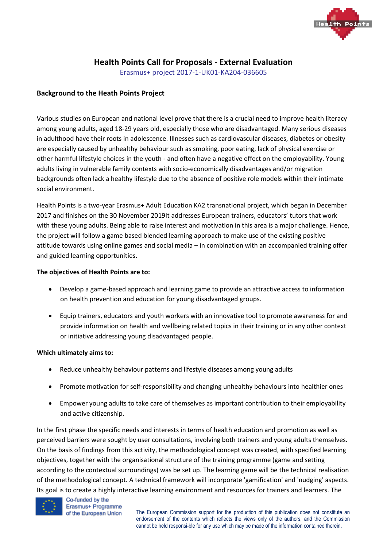

# **Health Points Call for Proposals - External Evaluation**

Erasmus+ project 2017-1-UK01-KA204-036605

# **Background to the Heath Points Project**

Various studies on European and national level prove that there is a crucial need to improve health literacy among young adults, aged 18-29 years old, especially those who are disadvantaged. Many serious diseases in adulthood have their roots in adolescence. Illnesses such as cardiovascular diseases, diabetes or obesity are especially caused by unhealthy behaviour such as smoking, poor eating, lack of physical exercise or other harmful lifestyle choices in the youth - and often have a negative effect on the employability. Young adults living in vulnerable family contexts with socio-economically disadvantages and/or migration backgrounds often lack a healthy lifestyle due to the absence of positive role models within their intimate social environment.

Health Points is a two-year Erasmus+ Adult Education KA2 transnational project, which began in December 2017 and finishes on the 30 November 2019It addresses European trainers, educators' tutors that work with these young adults. Being able to raise interest and motivation in this area is a major challenge. Hence, the project will follow a game based blended learning approach to make use of the existing positive attitude towards using online games and social media – in combination with an accompanied training offer and guided learning opportunities.

#### **The objectives of Health Points are to:**

- Develop a game-based approach and learning game to provide an attractive access to information on health prevention and education for young disadvantaged groups.
- Equip trainers, educators and youth workers with an innovative tool to promote awareness for and provide information on health and wellbeing related topics in their training or in any other context or initiative addressing young disadvantaged people.

#### **Which ultimately aims to:**

- Reduce unhealthy behaviour patterns and lifestyle diseases among young adults
- Promote motivation for self-responsibility and changing unhealthy behaviours into healthier ones
- Empower young adults to take care of themselves as important contribution to their employability and active citizenship.

In the first phase the specific needs and interests in terms of health education and promotion as well as perceived barriers were sought by user consultations, involving both trainers and young adults themselves. On the basis of findings from this activity, the methodological concept was created, with specified learning objectives, together with the organisational structure of the training programme (game and setting according to the contextual surroundings) was be set up. The learning game will be the technical realisation of the methodological concept. A technical framework will incorporate 'gamification' and 'nudging' aspects. Its goal is to create a highly interactive learning environment and resources for trainers and learners. The



#### Co-funded by the Erasmus+ Programme of the European Union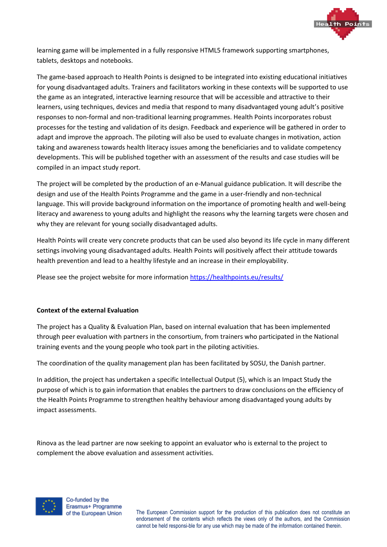

learning game will be implemented in a fully responsive HTML5 framework supporting smartphones, tablets, desktops and notebooks.

The game-based approach to Health Points is designed to be integrated into existing educational initiatives for young disadvantaged adults. Trainers and facilitators working in these contexts will be supported to use the game as an integrated, interactive learning resource that will be accessible and attractive to their learners, using techniques, devices and media that respond to many disadvantaged young adult's positive responses to non-formal and non-traditional learning programmes. Health Points incorporates robust processes for the testing and validation of its design. Feedback and experience will be gathered in order to adapt and improve the approach. The piloting will also be used to evaluate changes in motivation, action taking and awareness towards health literacy issues among the beneficiaries and to validate competency developments. This will be published together with an assessment of the results and case studies will be compiled in an impact study report.

The project will be completed by the production of an e-Manual guidance publication. It will describe the design and use of the Health Points Programme and the game in a user-friendly and non-technical language. This will provide background information on the importance of promoting health and well-being literacy and awareness to young adults and highlight the reasons why the learning targets were chosen and why they are relevant for young socially disadvantaged adults.

Health Points will create very concrete products that can be used also beyond its life cycle in many different settings involving young disadvantaged adults. Health Points will positively affect their attitude towards health prevention and lead to a healthy lifestyle and an increase in their employability.

Please see the project website for more informatio[n https://healthpoints.eu/results/](https://healthpoints.eu/results/)

# **Context of the external Evaluation**

The project has a Quality & Evaluation Plan, based on internal evaluation that has been implemented through peer evaluation with partners in the consortium, from trainers who participated in the National training events and the young people who took part in the piloting activities.

The coordination of the quality management plan has been facilitated by SOSU, the Danish partner.

In addition, the project has undertaken a specific Intellectual Output (5), which is an Impact Study the purpose of which is to gain information that enables the partners to draw conclusions on the efficiency of the Health Points Programme to strengthen healthy behaviour among disadvantaged young adults by impact assessments.

Rinova as the lead partner are now seeking to appoint an evaluator who is external to the project to complement the above evaluation and assessment activities.

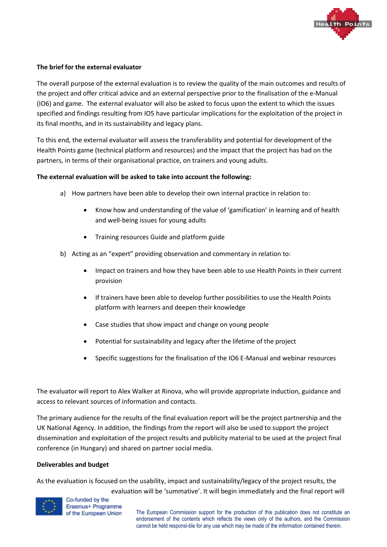

### **The brief for the external evaluator**

The overall purpose of the external evaluation is to review the quality of the main outcomes and results of the project and offer critical advice and an external perspective prior to the finalisation of the e-Manual (IO6) and game. The external evaluator will also be asked to focus upon the extent to which the issues specified and findings resulting from IO5 have particular implications for the exploitation of the project in its final months, and in its sustainability and legacy plans.

To this end, the external evaluator will assess the transferability and potential for development of the Health Points game (technical platform and resources) and the impact that the project has had on the partners, in terms of their organisational practice, on trainers and young adults.

#### **The external evaluation will be asked to take into account the following:**

- a) How partners have been able to develop their own internal practice in relation to:
	- Know how and understanding of the value of 'gamification' in learning and of health and well-being issues for young adults
	- Training resources Guide and platform guide
- b) Acting as an "expert" providing observation and commentary in relation to:
	- Impact on trainers and how they have been able to use Health Points in their current provision
	- If trainers have been able to develop further possibilities to use the Health Points platform with learners and deepen their knowledge
	- Case studies that show impact and change on young people
	- Potential for sustainability and legacy after the lifetime of the project
	- Specific suggestions for the finalisation of the IO6 E-Manual and webinar resources

The evaluator will report to Alex Walker at Rinova, who will provide appropriate induction, guidance and access to relevant sources of information and contacts.

The primary audience for the results of the final evaluation report will be the project partnership and the UK National Agency. In addition, the findings from the report will also be used to support the project dissemination and exploitation of the project results and publicity material to be used at the project final conference (in Hungary) and shared on partner social media.

#### **Deliverables and budget**

As the evaluation is focused on the usability, impact and sustainability/legacy of the project results, the evaluation will be 'summative'. It will begin immediately and the final report will



Co-funded by the Erasmus+ Programme of the European Union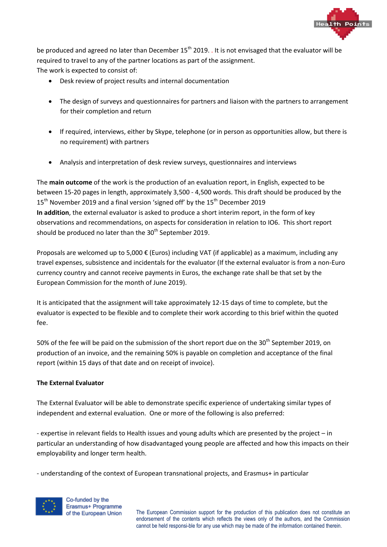

be produced and agreed no later than December  $15<sup>th</sup>$  2019. . It is not envisaged that the evaluator will be required to travel to any of the partner locations as part of the assignment. The work is expected to consist of:

- Desk review of project results and internal documentation
- The design of surveys and questionnaires for partners and liaison with the partners to arrangement for their completion and return
- If required, interviews, either by Skype, telephone (or in person as opportunities allow, but there is no requirement) with partners
- Analysis and interpretation of desk review surveys, questionnaires and interviews

The **main outcome** of the work is the production of an evaluation report, in English, expected to be between 15-20 pages in length, approximately 3,500 - 4,500 words. This draft should be produced by the  $15<sup>th</sup>$  November 2019 and a final version 'signed off' by the  $15<sup>th</sup>$  December 2019 **In addition**, the external evaluator is asked to produce a short interim report, in the form of key observations and recommendations, on aspects for consideration in relation to IO6. This short report should be produced no later than the  $30<sup>th</sup>$  September 2019.

Proposals are welcomed up to 5,000 € (Euros) including VAT (if applicable) as a maximum, including any travel expenses, subsistence and incidentals for the evaluator (If the external evaluator is from a non-Euro currency country and cannot receive payments in Euros, the exchange rate shall be that set by the European Commission for the month of June 2019).

It is anticipated that the assignment will take approximately 12-15 days of time to complete, but the evaluator is expected to be flexible and to complete their work according to this brief within the quoted fee.

50% of the fee will be paid on the submission of the short report due on the 30<sup>th</sup> September 2019, on production of an invoice, and the remaining 50% is payable on completion and acceptance of the final report (within 15 days of that date and on receipt of invoice).

# **The External Evaluator**

The External Evaluator will be able to demonstrate specific experience of undertaking similar types of independent and external evaluation. One or more of the following is also preferred:

- expertise in relevant fields to Health issues and young adults which are presented by the project – in particular an understanding of how disadvantaged young people are affected and how this impacts on their employability and longer term health.

- understanding of the context of European transnational projects, and Erasmus+ in particular